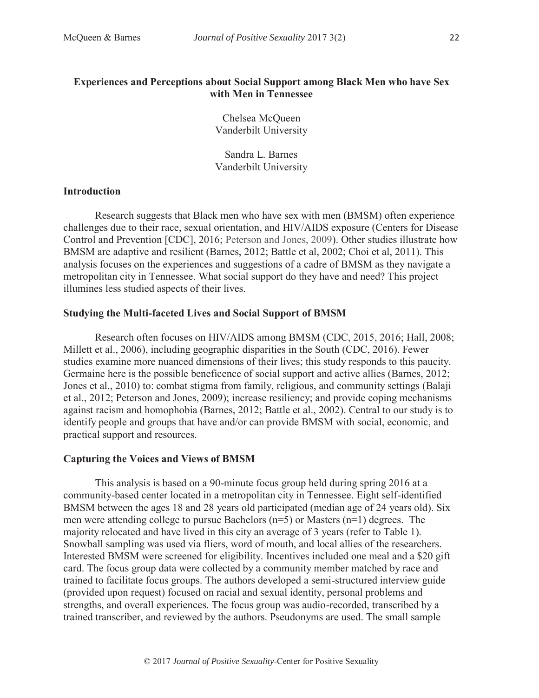## **Experiences and Perceptions about Social Support among Black Men who have Sex with Men in Tennessee**

Chelsea McQueen Vanderbilt University

Sandra L. Barnes Vanderbilt University

### **Introduction**

Research suggests that Black men who have sex with men (BMSM) often experience challenges due to their race, sexual orientation, and HIV/AIDS exposure (Centers for Disease Control and Prevention [CDC], 2016; Peterson and Jones, 2009). Other studies illustrate how BMSM are adaptive and resilient (Barnes, 2012; Battle et al, 2002; Choi et al, 2011). This analysis focuses on the experiences and suggestions of a cadre of BMSM as they navigate a metropolitan city in Tennessee. What social support do they have and need? This project illumines less studied aspects of their lives.

#### **Studying the Multi-faceted Lives and Social Support of BMSM**

Research often focuses on HIV/AIDS among BMSM (CDC, 2015, 2016; Hall, 2008; Millett et al., 2006), including geographic disparities in the South (CDC, 2016). Fewer studies examine more nuanced dimensions of their lives; this study responds to this paucity. Germaine here is the possible beneficence of social support and active allies (Barnes, 2012; Jones et al., 2010) to: combat stigma from family, religious, and community settings (Balaji et al., 2012; Peterson and Jones, 2009); increase resiliency; and provide coping mechanisms against racism and homophobia (Barnes, 2012; Battle et al., 2002). Central to our study is to identify people and groups that have and/or can provide BMSM with social, economic, and practical support and resources.

#### **Capturing the Voices and Views of BMSM**

This analysis is based on a 90-minute focus group held during spring 2016 at a community-based center located in a metropolitan city in Tennessee. Eight self-identified BMSM between the ages 18 and 28 years old participated (median age of 24 years old). Six men were attending college to pursue Bachelors (n=5) or Masters (n=1) degrees. The majority relocated and have lived in this city an average of 3 years (refer to Table 1). Snowball sampling was used via fliers, word of mouth, and local allies of the researchers. Interested BMSM were screened for eligibility. Incentives included one meal and a \$20 gift card. The focus group data were collected by a community member matched by race and trained to facilitate focus groups. The authors developed a semi-structured interview guide (provided upon request) focused on racial and sexual identity, personal problems and strengths, and overall experiences. The focus group was audio-recorded, transcribed by a trained transcriber, and reviewed by the authors. Pseudonyms are used. The small sample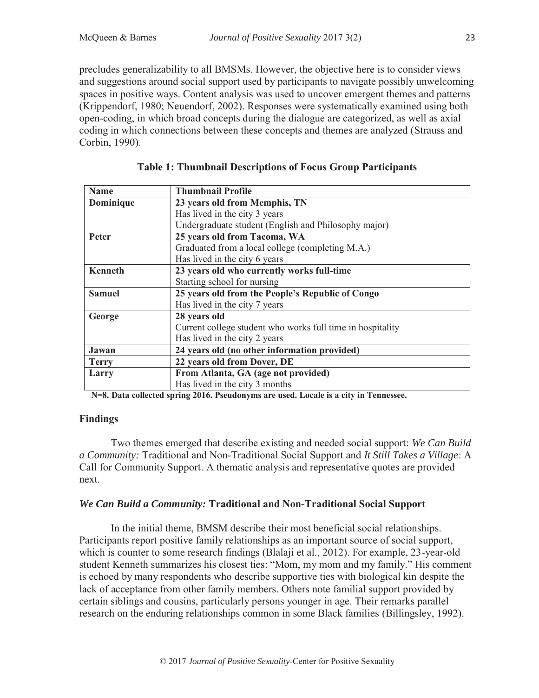precludes generalizability to all BMSMs. However, the objective here is to consider views and suggestions around social support used by participants to navigate possibly unwelcoming spaces in positive ways. Content analysis was used to uncover emergent themes and patterns (Krippendorf, 1980; Neuendorf, 2002). Responses were systematically examined using both open-coding, in which broad concepts during the dialogue are categorized, as well as axial coding in which connections between these concepts and themes are analyzed (Strauss and Corbin, 1990).

| <b>Name</b>    | <b>Thumbnail Profile</b>                                   |
|----------------|------------------------------------------------------------|
| Dominique      | 23 years old from Memphis, TN                              |
|                | Has lived in the city 3 years                              |
|                | Undergraduate student (English and Philosophy major)       |
| <b>Peter</b>   | 25 years old from Tacoma, WA                               |
|                | Graduated from a local college (completing M.A.)           |
|                | Has lived in the city 6 years                              |
| <b>Kenneth</b> | 23 years old who currently works full-time                 |
|                | Starting school for nursing                                |
| <b>Samuel</b>  | 25 years old from the People's Republic of Congo           |
|                | Has lived in the city 7 years                              |
| George         | 28 years old                                               |
|                | Current college student who works full time in hospitality |
|                | Has lived in the city 2 years                              |
| Jawan          | 24 years old (no other information provided)               |
| <b>Terry</b>   | 22 years old from Dover, DE                                |
| Larry          | From Atlanta, GA (age not provided)                        |
|                | Has lived in the city 3 months                             |

**Table 1: Thumbnail Descriptions of Focus Group Participants** 

**N=8. Data collected spring 2016. Pseudonyms are used. Locale is a city in Tennessee.**

# **Findings**

Two themes emerged that describe existing and needed social support: *We Can Build a Community:* Traditional and Non-Traditional Social Support and *It Still Takes a Village*: A Call for Community Support. A thematic analysis and representative quotes are provided next.

## *We Can Build a Community:* **Traditional and Non-Traditional Social Support**

In the initial theme, BMSM describe their most beneficial social relationships. Participants report positive family relationships as an important source of social support, which is counter to some research findings (Blalaji et al., 2012). For example, 23-year-old student Kenneth summarizes his closest ties: "Mom, my mom and my family." His comment is echoed by many respondents who describe supportive ties with biological kin despite the lack of acceptance from other family members. Others note familial support provided by certain siblings and cousins, particularly persons younger in age. Their remarks parallel research on the enduring relationships common in some Black families (Billingsley, 1992).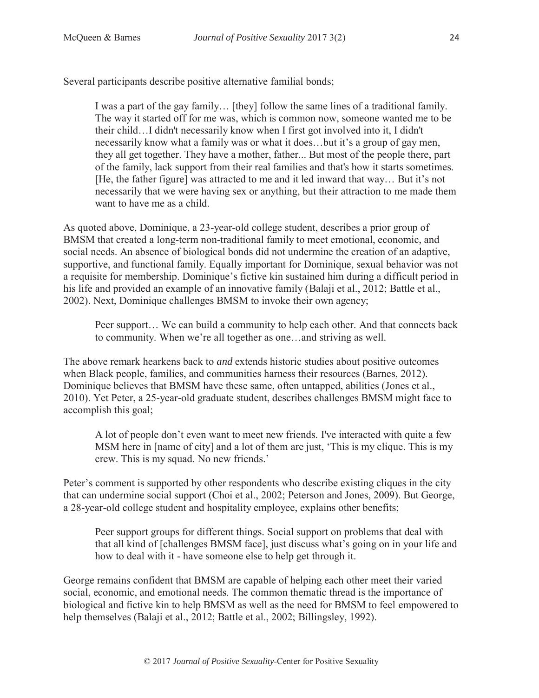24

Several participants describe positive alternative familial bonds;

I was a part of the gay family… [they] follow the same lines of a traditional family. The way it started off for me was, which is common now, someone wanted me to be their child…I didn't necessarily know when I first got involved into it, I didn't necessarily know what a family was or what it does…but it's a group of gay men, they all get together. They have a mother, father... But most of the people there, part of the family, lack support from their real families and that's how it starts sometimes. [He, the father figure] was attracted to me and it led inward that way… But it's not necessarily that we were having sex or anything, but their attraction to me made them want to have me as a child.

As quoted above, Dominique, a 23-year-old college student, describes a prior group of BMSM that created a long-term non-traditional family to meet emotional, economic, and social needs. An absence of biological bonds did not undermine the creation of an adaptive, supportive, and functional family. Equally important for Dominique, sexual behavior was not a requisite for membership. Dominique's fictive kin sustained him during a difficult period in his life and provided an example of an innovative family (Balaji et al., 2012; Battle et al., 2002). Next, Dominique challenges BMSM to invoke their own agency;

Peer support… We can build a community to help each other. And that connects back to community. When we're all together as one…and striving as well.

The above remark hearkens back to *and* extends historic studies about positive outcomes when Black people, families, and communities harness their resources (Barnes, 2012). Dominique believes that BMSM have these same, often untapped, abilities (Jones et al., 2010). Yet Peter, a 25-year-old graduate student, describes challenges BMSM might face to accomplish this goal;

A lot of people don't even want to meet new friends. I've interacted with quite a few MSM here in [name of city] and a lot of them are just, 'This is my clique. This is my crew. This is my squad. No new friends.'

Peter's comment is supported by other respondents who describe existing cliques in the city that can undermine social support (Choi et al., 2002; Peterson and Jones, 2009). But George, a 28-year-old college student and hospitality employee, explains other benefits;

Peer support groups for different things. Social support on problems that deal with that all kind of [challenges BMSM face], just discuss what's going on in your life and how to deal with it - have someone else to help get through it.

George remains confident that BMSM are capable of helping each other meet their varied social, economic, and emotional needs. The common thematic thread is the importance of biological and fictive kin to help BMSM as well as the need for BMSM to feel empowered to help themselves (Balaji et al., 2012; Battle et al., 2002; Billingsley, 1992).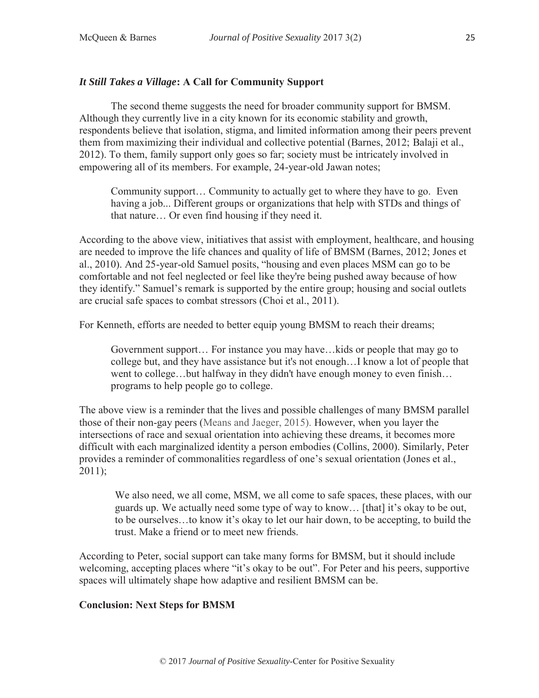# *It Still Takes a Village***: A Call for Community Support**

 The second theme suggests the need for broader community support for BMSM. Although they currently live in a city known for its economic stability and growth, respondents believe that isolation, stigma, and limited information among their peers prevent them from maximizing their individual and collective potential (Barnes, 2012; Balaji et al., 2012). To them, family support only goes so far; society must be intricately involved in empowering all of its members. For example, 24-year-old Jawan notes;

Community support… Community to actually get to where they have to go. Even having a job... Different groups or organizations that help with STDs and things of that nature… Or even find housing if they need it.

According to the above view, initiatives that assist with employment, healthcare, and housing are needed to improve the life chances and quality of life of BMSM (Barnes, 2012; Jones et al., 2010). And 25-year-old Samuel posits, "housing and even places MSM can go to be comfortable and not feel neglected or feel like they're being pushed away because of how they identify." Samuel's remark is supported by the entire group; housing and social outlets are crucial safe spaces to combat stressors (Choi et al., 2011).

For Kenneth, efforts are needed to better equip young BMSM to reach their dreams;

Government support… For instance you may have…kids or people that may go to college but, and they have assistance but it's not enough…I know a lot of people that went to college…but halfway in they didn't have enough money to even finish… programs to help people go to college.

The above view is a reminder that the lives and possible challenges of many BMSM parallel those of their non-gay peers (Means and Jaeger, 2015). However, when you layer the intersections of race and sexual orientation into achieving these dreams, it becomes more difficult with each marginalized identity a person embodies (Collins, 2000). Similarly, Peter provides a reminder of commonalities regardless of one's sexual orientation (Jones et al.,  $2011$ ;

We also need, we all come, MSM, we all come to safe spaces, these places, with our guards up. We actually need some type of way to know… [that] it's okay to be out, to be ourselves…to know it's okay to let our hair down, to be accepting, to build the trust. Make a friend or to meet new friends.

According to Peter, social support can take many forms for BMSM, but it should include welcoming, accepting places where "it's okay to be out". For Peter and his peers, supportive spaces will ultimately shape how adaptive and resilient BMSM can be.

# **Conclusion: Next Steps for BMSM**